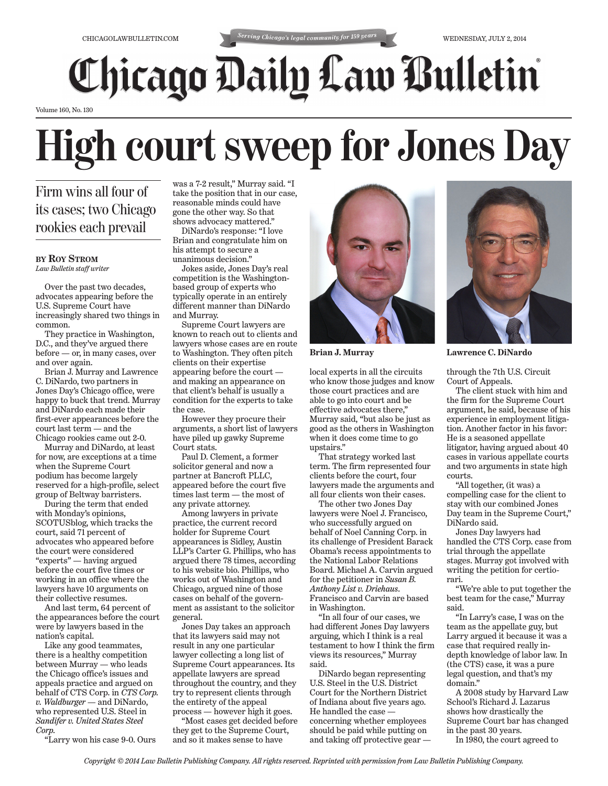## **Chicago Daily Law Bulletin**

Volume 160, No. 130

## **High court sweep for Jones Day**

Firm wins all four of its cases; two Chicago rookies each prevail

## **BY ROY STROM**

*Law Bulletin staff writer*

Over the past two decades, advocates appearing before the U.S. Supreme Court have increasingly shared two things in common.

They practice in Washington, D.C., and they've argued there before — or, in many cases, over and over again.

Brian J. Murray and Lawrence C. DiNardo, two partners in Jones Day's Chicago office, were happy to buck that trend. Murray and DiNardo each made their first-ever appearances before the court last term — and the Chicago rookies came out 2-0.

Murray and DiNardo, at least for now, are exceptions at a time when the Supreme Court podium has become largely reserved for a high-profile, select group of Beltway barristers.

During the term that ended with Monday's opinions, SCOTUSblog, which tracks the court, said 71 percent of advocates who appeared before the court were considered "experts" — having argued before the court five times or working in an office where the lawyers have 10 arguments on their collective resumes.

And last term, 64 percent of the appearances before the court were by lawyers based in the nation's capital.

Like any good teammates, there is a healthy competition between Murray — who leads the Chicago office's issues and appeals practice and argued on behalf of CTS Corp. in *CTS Corp. v. Waldburger* — and DiNardo, who represented U.S. Steel in *Sandifer v. United States Steel Corp.*

"Larry won his case 9-0. Ours

was a 7-2 result," Murray said. "I take the position that in our case, reasonable minds could have gone the other way. So that shows advocacy mattered."

DiNardo's response: "I love Brian and congratulate him on his attempt to secure a unanimous decision."

Jokes aside, Jones Day's real competition is the Washingtonbased group of experts who typically operate in an entirely different manner than DiNardo and Murray.

Supreme Court lawyers are known to reach out to clients and lawyers whose cases are en route to Washington. They often pitch clients on their expertise appearing before the court and making an appearance on that client's behalf is usually a condition for the experts to take the case.

However they procure their arguments, a short list of lawyers have piled up gawky Supreme Court stats.

Paul D. Clement, a former solicitor general and now a partner at Bancroft PLLC, appeared before the court five times last term — the most of any private attorney.

Among lawyers in private practice, the current record holder for Supreme Court appearances is Sidley, Austin LLP's Carter G. Phillips, who has argued there 78 times, according to his website bio. Phillips, who works out of Washington and Chicago, argued nine of those cases on behalf of the government as assistant to the solicitor general.

Jones Day takes an approach that its lawyers said may not result in any one particular lawyer collecting a long list of Supreme Court appearances. Its appellate lawyers are spread throughout the country, and they try to represent clients through the entirety of the appeal process — however high it goes.

"Most cases get decided before they get to the Supreme Court, and so it makes sense to have



local experts in all the circuits who know those judges and know those court practices and are able to go into court and be effective advocates there," Murray said, "but also be just as good as the others in Washington when it does come time to go upstairs."

That strategy worked last term. The firm represented four clients before the court, four lawyers made the arguments and all four clients won their cases.

The other two Jones Day lawyers were Noel J. Francisco, who successfully argued on behalf of Noel Canning Corp. in its challenge of President Barack Obama's recess appointments to the National Labor Relations Board. Michael A. Carvin argued for the petitioner in *Susan B. Anthony List v. Driehaus*. Francisco and Carvin are based in Washington.

"In all four of our cases, we had different Jones Day lawyers arguing, which I think is a real testament to how I think the firm views its resources," Murray said.

DiNardo began representing U.S. Steel in the U.S. District Court for the Northern District of Indiana about five years ago. He handled the case concerning whether employees should be paid while putting on and taking off protective gear —



**Brian J. Murray Lawrence C. DiNardo**

through the 7th U.S. Circuit Court of Appeals.

The client stuck with him and the firm for the Supreme Court argument, he said, because of his experience in employment litigation. Another factor in his favor: He is a seasoned appellate litigator, having argued about 40 cases in various appellate courts and two arguments in state high courts.

"All together, (it was) a compelling case for the client to stay with our combined Jones Day team in the Supreme Court," DiNardo said.

Jones Day lawyers had handled the CTS Corp. case from trial through the appellate stages. Murray got involved with writing the petition for certiorari.

"We're able to put together the best team for the case," Murray said.

"In Larry's case, I was on the team as the appellate guy, but Larry argued it because it was a case that required really indepth knowledge of labor law. In (the CTS) case, it was a pure legal question, and that's my domain."

A 2008 study by Harvard Law School's Richard J. Lazarus shows how drastically the Supreme Court bar has changed in the past 30 years.

In 1980, the court agreed to